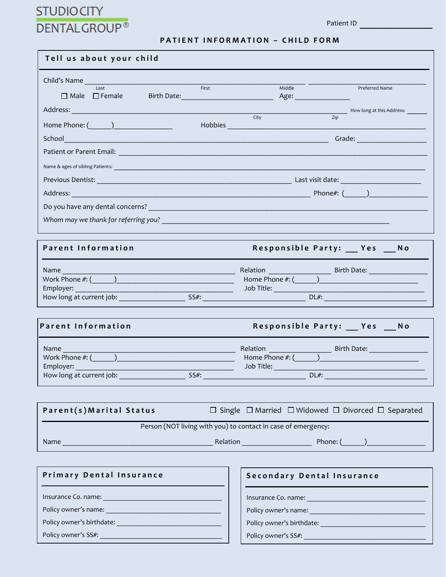## **STUDIOCITY DENTALGROUP®**

## **PATIENT INFORMATION - CHILD FORM**

| Tell us about your child                                                                                                                                                             |                                              |  |  |  |  |
|--------------------------------------------------------------------------------------------------------------------------------------------------------------------------------------|----------------------------------------------|--|--|--|--|
| Child's Name                                                                                                                                                                         |                                              |  |  |  |  |
| Last<br>First<br>□ Male □ Female Birth Date: <u>____________________</u>                                                                                                             | Middle<br>Preferred Name                     |  |  |  |  |
|                                                                                                                                                                                      | Mow long at this Address:                    |  |  |  |  |
|                                                                                                                                                                                      | City<br>Zip<br>Hobbies                       |  |  |  |  |
|                                                                                                                                                                                      | Grade: <u>_______________</u>                |  |  |  |  |
|                                                                                                                                                                                      |                                              |  |  |  |  |
|                                                                                                                                                                                      |                                              |  |  |  |  |
|                                                                                                                                                                                      |                                              |  |  |  |  |
|                                                                                                                                                                                      |                                              |  |  |  |  |
|                                                                                                                                                                                      |                                              |  |  |  |  |
|                                                                                                                                                                                      |                                              |  |  |  |  |
| <b>Parent Information</b>                                                                                                                                                            | Responsible Party: __ Yes __ No              |  |  |  |  |
| Name                                                                                                                                                                                 |                                              |  |  |  |  |
|                                                                                                                                                                                      |                                              |  |  |  |  |
|                                                                                                                                                                                      |                                              |  |  |  |  |
|                                                                                                                                                                                      |                                              |  |  |  |  |
| <b>Parent Information</b>                                                                                                                                                            | Responsible Party: __ Yes __ No              |  |  |  |  |
| Name and the state of the state of the state of the state of the state of the state of the state of the state<br><u> 1989 - Johann Barbara, martxa alemaniar amerikan basar da a</u> | <b>Relation Relation</b><br>Birth Date: 1988 |  |  |  |  |
|                                                                                                                                                                                      |                                              |  |  |  |  |
| Employer: <u>_____________</u><br>$SS#$ :<br>How long at current job:                                                                                                                | $DL#$ :                                      |  |  |  |  |
|                                                                                                                                                                                      |                                              |  |  |  |  |
| $\Box$ Single $\Box$ Married $\Box$ Widowed $\Box$ Divorced $\Box$ Separated<br>Parent(s) Marital Status                                                                             |                                              |  |  |  |  |
| Person (NOT living with you) to contact in case of emergency:                                                                                                                        |                                              |  |  |  |  |
|                                                                                                                                                                                      |                                              |  |  |  |  |
|                                                                                                                                                                                      |                                              |  |  |  |  |
| Primary Dental Insurance                                                                                                                                                             | Secondary Dental Insurance                   |  |  |  |  |
|                                                                                                                                                                                      |                                              |  |  |  |  |
|                                                                                                                                                                                      |                                              |  |  |  |  |
|                                                                                                                                                                                      |                                              |  |  |  |  |
|                                                                                                                                                                                      | Policy owner's SS#:                          |  |  |  |  |
|                                                                                                                                                                                      |                                              |  |  |  |  |